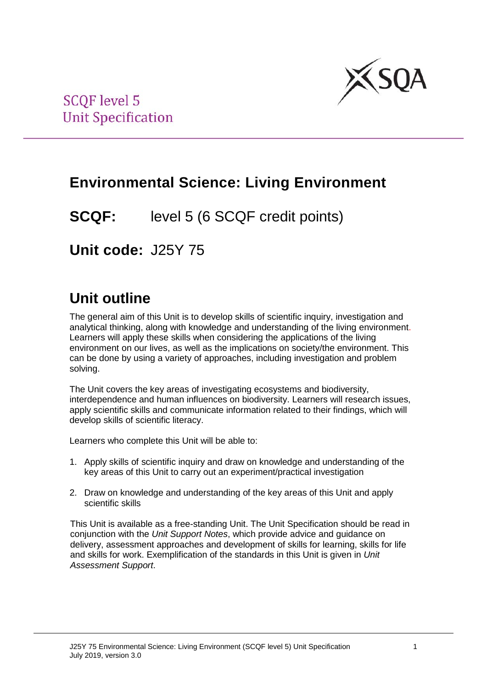

## **Environmental Science: Living Environment**

**SCQF:** level 5 (6 SCQF credit points)

**Unit code:** J25Y 75

## **Unit outline**

The general aim of this Unit is to develop skills of scientific inquiry, investigation and analytical thinking, along with knowledge and understanding of the living environment. Learners will apply these skills when considering the applications of the living environment on our lives, as well as the implications on society/the environment. This can be done by using a variety of approaches, including investigation and problem solving.

The Unit covers the key areas of investigating ecosystems and biodiversity, interdependence and human influences on biodiversity. Learners will research issues, apply scientific skills and communicate information related to their findings, which will develop skills of scientific literacy.

Learners who complete this Unit will be able to:

- 1. Apply skills of scientific inquiry and draw on knowledge and understanding of the key areas of this Unit to carry out an experiment/practical investigation
- 2. Draw on knowledge and understanding of the key areas of this Unit and apply scientific skills

This Unit is available as a free-standing Unit. The Unit Specification should be read in conjunction with the *Unit Support Notes*, which provide advice and guidance on delivery, assessment approaches and development of skills for learning, skills for life and skills for work. Exemplification of the standards in this Unit is given in *Unit Assessment Support*.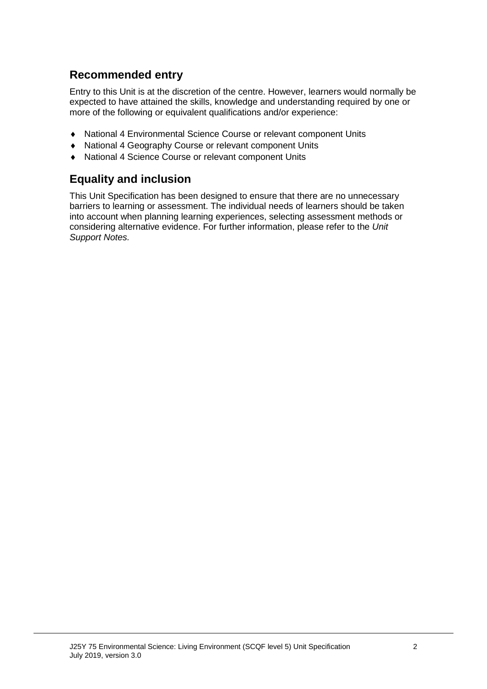### **Recommended entry**

Entry to this Unit is at the discretion of the centre. However, learners would normally be expected to have attained the skills, knowledge and understanding required by one or more of the following or equivalent qualifications and/or experience:

- ♦ National 4 Environmental Science Course or relevant component Units
- ♦ National 4 Geography Course or relevant component Units
- ♦ National 4 Science Course or relevant component Units

### **Equality and inclusion**

This Unit Specification has been designed to ensure that there are no unnecessary barriers to learning or assessment. The individual needs of learners should be taken into account when planning learning experiences, selecting assessment methods or considering alternative evidence. For further information, please refer to the *Unit Support Notes.*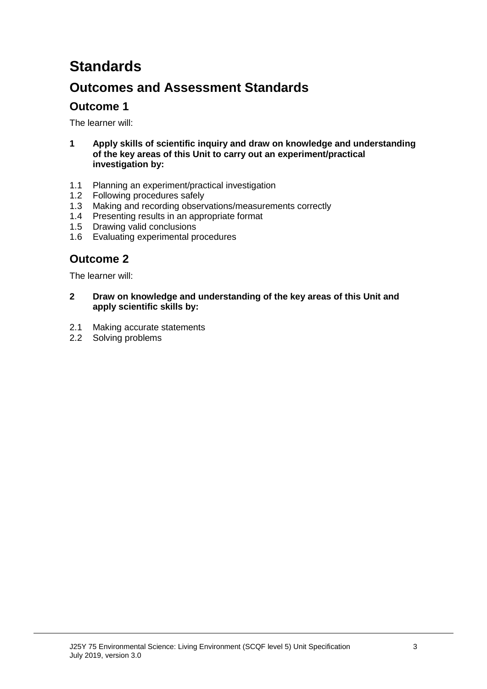# **Standards**

## **Outcomes and Assessment Standards**

### **Outcome 1**

The learner will:

- **1 Apply skills of scientific inquiry and draw on knowledge and understanding of the key areas of this Unit to carry out an experiment/practical investigation by:**
- 1.1 Planning an experiment/practical investigation
- 1.2 Following procedures safely
- 1.3 Making and recording observations/measurements correctly
- 1.4 Presenting results in an appropriate format
- 1.5 Drawing valid conclusions
- 1.6 Evaluating experimental procedures

### **Outcome 2**

The learner will:

- **2 Draw on knowledge and understanding of the key areas of this Unit and apply scientific skills by:**
- 2.1 Making accurate statements
- 2.2 Solving problems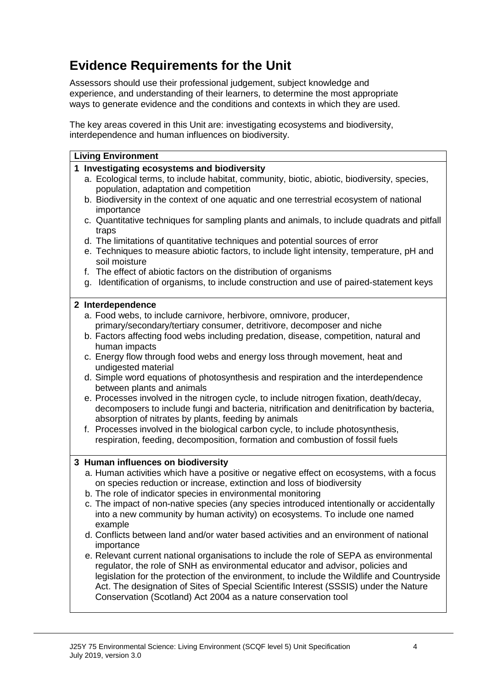## **Evidence Requirements for the Unit**

Assessors should use their professional judgement, subject knowledge and experience, and understanding of their learners, to determine the most appropriate ways to generate evidence and the conditions and contexts in which they are used.

The key areas covered in this Unit are: investigating ecosystems and biodiversity, interdependence and human influences on biodiversity.

| <b>Living Environment</b>                                                                   |                                                                                             |  |  |  |  |  |  |
|---------------------------------------------------------------------------------------------|---------------------------------------------------------------------------------------------|--|--|--|--|--|--|
|                                                                                             | 1 Investigating ecosystems and biodiversity                                                 |  |  |  |  |  |  |
| a. Ecological terms, to include habitat, community, biotic, abiotic, biodiversity, species, |                                                                                             |  |  |  |  |  |  |
|                                                                                             | population, adaptation and competition                                                      |  |  |  |  |  |  |
|                                                                                             | b. Biodiversity in the context of one aquatic and one terrestrial ecosystem of national     |  |  |  |  |  |  |
|                                                                                             | importance                                                                                  |  |  |  |  |  |  |
|                                                                                             | c. Quantitative techniques for sampling plants and animals, to include quadrats and pitfall |  |  |  |  |  |  |
|                                                                                             | traps                                                                                       |  |  |  |  |  |  |
|                                                                                             | d. The limitations of quantitative techniques and potential sources of error                |  |  |  |  |  |  |
|                                                                                             | e. Techniques to measure abiotic factors, to include light intensity, temperature, pH and   |  |  |  |  |  |  |
| soil moisture<br>f. The effect of abiotic factors on the distribution of organisms          |                                                                                             |  |  |  |  |  |  |
|                                                                                             | g. Identification of organisms, to include construction and use of paired-statement keys    |  |  |  |  |  |  |
|                                                                                             |                                                                                             |  |  |  |  |  |  |
|                                                                                             | 2 Interdependence                                                                           |  |  |  |  |  |  |
|                                                                                             | a. Food webs, to include carnivore, herbivore, omnivore, producer,                          |  |  |  |  |  |  |
|                                                                                             | primary/secondary/tertiary consumer, detritivore, decomposer and niche                      |  |  |  |  |  |  |
|                                                                                             | b. Factors affecting food webs including predation, disease, competition, natural and       |  |  |  |  |  |  |
|                                                                                             | human impacts                                                                               |  |  |  |  |  |  |
|                                                                                             | c. Energy flow through food webs and energy loss through movement, heat and                 |  |  |  |  |  |  |
|                                                                                             | undigested material                                                                         |  |  |  |  |  |  |
|                                                                                             | d. Simple word equations of photosynthesis and respiration and the interdependence          |  |  |  |  |  |  |
|                                                                                             | between plants and animals                                                                  |  |  |  |  |  |  |
|                                                                                             | e. Processes involved in the nitrogen cycle, to include nitrogen fixation, death/decay,     |  |  |  |  |  |  |
|                                                                                             | decomposers to include fungi and bacteria, nitrification and denitrification by bacteria,   |  |  |  |  |  |  |
|                                                                                             | absorption of nitrates by plants, feeding by animals                                        |  |  |  |  |  |  |
|                                                                                             | f. Processes involved in the biological carbon cycle, to include photosynthesis,            |  |  |  |  |  |  |
|                                                                                             | respiration, feeding, decomposition, formation and combustion of fossil fuels               |  |  |  |  |  |  |
|                                                                                             | 3 Human influences on biodiversity                                                          |  |  |  |  |  |  |
|                                                                                             | a. Human activities which have a positive or negative effect on ecosystems, with a focus    |  |  |  |  |  |  |
|                                                                                             | on species reduction or increase, extinction and loss of biodiversity                       |  |  |  |  |  |  |
|                                                                                             | b. The role of indicator species in environmental monitoring                                |  |  |  |  |  |  |
|                                                                                             | c. The impact of non-native species (any species introduced intentionally or accidentally   |  |  |  |  |  |  |
|                                                                                             | into a new community by human activity) on ecosystems. To include one named                 |  |  |  |  |  |  |
|                                                                                             | example                                                                                     |  |  |  |  |  |  |
|                                                                                             | d. Conflicts between land and/or water based activities and an environment of national      |  |  |  |  |  |  |
|                                                                                             | importance                                                                                  |  |  |  |  |  |  |
|                                                                                             | e. Relevant current national organisations to include the role of SEPA as environmental     |  |  |  |  |  |  |
|                                                                                             | regulator, the role of SNH as environmental educator and advisor, policies and              |  |  |  |  |  |  |
|                                                                                             | legislation for the protection of the environment, to include the Wildlife and Countryside  |  |  |  |  |  |  |
|                                                                                             | Act. The designation of Sites of Special Scientific Interest (SSSIS) under the Nature       |  |  |  |  |  |  |
|                                                                                             | Conservation (Scotland) Act 2004 as a nature conservation tool                              |  |  |  |  |  |  |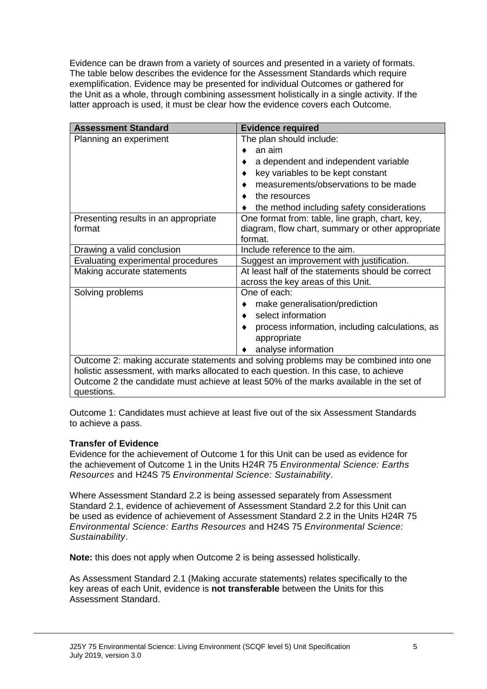Evidence can be drawn from a variety of sources and presented in a variety of formats. The table below describes the evidence for the Assessment Standards which require exemplification. Evidence may be presented for individual Outcomes or gathered for the Unit as a whole, through combining assessment holistically in a single activity. If the latter approach is used, it must be clear how the evidence covers each Outcome.

| <b>Assessment Standard</b>                                                             | <b>Evidence required</b>                                                                                        |  |  |  |  |
|----------------------------------------------------------------------------------------|-----------------------------------------------------------------------------------------------------------------|--|--|--|--|
| Planning an experiment                                                                 | The plan should include:                                                                                        |  |  |  |  |
|                                                                                        | an aim                                                                                                          |  |  |  |  |
|                                                                                        | a dependent and independent variable                                                                            |  |  |  |  |
|                                                                                        | key variables to be kept constant                                                                               |  |  |  |  |
|                                                                                        | measurements/observations to be made                                                                            |  |  |  |  |
|                                                                                        | the resources                                                                                                   |  |  |  |  |
|                                                                                        | the method including safety considerations                                                                      |  |  |  |  |
| Presenting results in an appropriate<br>format                                         | One format from: table, line graph, chart, key,<br>diagram, flow chart, summary or other appropriate<br>format. |  |  |  |  |
| Drawing a valid conclusion                                                             | Include reference to the aim.                                                                                   |  |  |  |  |
| Evaluating experimental procedures                                                     | Suggest an improvement with justification.                                                                      |  |  |  |  |
| Making accurate statements                                                             | At least half of the statements should be correct<br>across the key areas of this Unit.                         |  |  |  |  |
| Solving problems                                                                       | One of each:                                                                                                    |  |  |  |  |
|                                                                                        | make generalisation/prediction                                                                                  |  |  |  |  |
|                                                                                        | select information                                                                                              |  |  |  |  |
|                                                                                        | process information, including calculations, as<br>appropriate                                                  |  |  |  |  |
|                                                                                        | analyse information                                                                                             |  |  |  |  |
| Outcome 2: making accurate statements and solving problems may be combined into one    |                                                                                                                 |  |  |  |  |
| holistic assessment, with marks allocated to each question. In this case, to achieve   |                                                                                                                 |  |  |  |  |
| Outcome 2 the candidate must achieve at least 50% of the marks available in the set of |                                                                                                                 |  |  |  |  |
| questions.                                                                             |                                                                                                                 |  |  |  |  |

Outcome 1: Candidates must achieve at least five out of the six Assessment Standards to achieve a pass.

#### **Transfer of Evidence**

Evidence for the achievement of Outcome 1 for this Unit can be used as evidence for the achievement of Outcome 1 in the Units H24R 75 *Environmental Science: Earths Resources* and H24S 75 *Environmental Science: Sustainability*.

Where Assessment Standard 2.2 is being assessed separately from Assessment Standard 2.1, evidence of achievement of Assessment Standard 2.2 for this Unit can be used as evidence of achievement of Assessment Standard 2.2 in the Units H24R 75 *Environmental Science: Earths Resources* and H24S 75 *Environmental Science: Sustainability*.

**Note:** this does not apply when Outcome 2 is being assessed holistically.

As Assessment Standard 2.1 (Making accurate statements) relates specifically to the key areas of each Unit, evidence is **not transferable** between the Units for this Assessment Standard.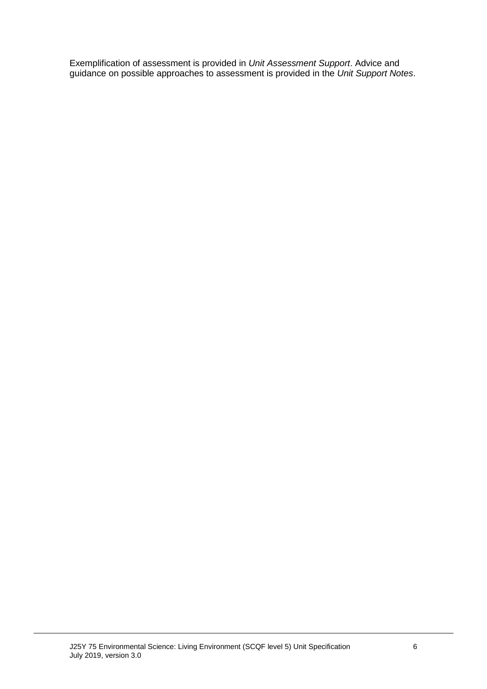Exemplification of assessment is provided in *Unit Assessment Support*. Advice and guidance on possible approaches to assessment is provided in the *Unit Support Notes*.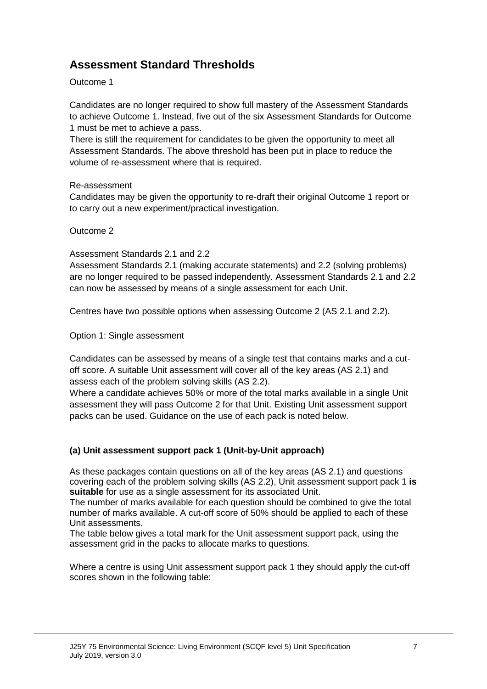## **Assessment Standard Thresholds**

#### Outcome 1

Candidates are no longer required to show full mastery of the Assessment Standards to achieve Outcome 1. Instead, five out of the six Assessment Standards for Outcome 1 must be met to achieve a pass.

There is still the requirement for candidates to be given the opportunity to meet all Assessment Standards. The above threshold has been put in place to reduce the volume of re-assessment where that is required.

#### Re-assessment

Candidates may be given the opportunity to re-draft their original Outcome 1 report or to carry out a new experiment/practical investigation.

Outcome 2

Assessment Standards 2.1 and 2.2

Assessment Standards 2.1 (making accurate statements) and 2.2 (solving problems) are no longer required to be passed independently. Assessment Standards 2.1 and 2.2 can now be assessed by means of a single assessment for each Unit.

Centres have two possible options when assessing Outcome 2 (AS 2.1 and 2.2).

Option 1: Single assessment

Candidates can be assessed by means of a single test that contains marks and a cutoff score. A suitable Unit assessment will cover all of the key areas (AS 2.1) and assess each of the problem solving skills (AS 2.2).

Where a candidate achieves 50% or more of the total marks available in a single Unit assessment they will pass Outcome 2 for that Unit. Existing Unit assessment support packs can be used. Guidance on the use of each pack is noted below.

#### **(a) Unit assessment support pack 1 (Unit-by-Unit approach)**

As these packages contain questions on all of the key areas (AS 2.1) and questions covering each of the problem solving skills (AS 2.2), Unit assessment support pack 1 **is suitable** for use as a single assessment for its associated Unit.

The number of marks available for each question should be combined to give the total number of marks available. A cut-off score of 50% should be applied to each of these Unit assessments.

The table below gives a total mark for the Unit assessment support pack, using the assessment grid in the packs to allocate marks to questions.

Where a centre is using Unit assessment support pack 1 they should apply the cut-off scores shown in the following table: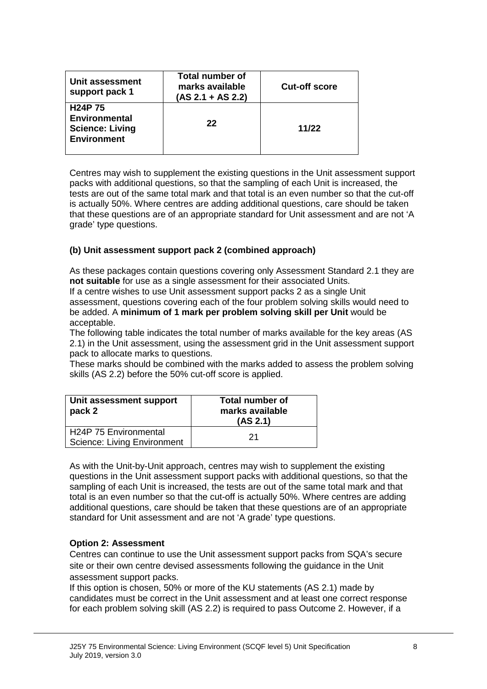| Unit assessment<br>support pack 1                                                     | <b>Total number of</b><br>marks available<br>$(AS 2.1 + AS 2.2)$ | <b>Cut-off score</b> |
|---------------------------------------------------------------------------------------|------------------------------------------------------------------|----------------------|
| <b>H24P75</b><br><b>Environmental</b><br><b>Science: Living</b><br><b>Environment</b> | 22                                                               | 11/22                |

Centres may wish to supplement the existing questions in the Unit assessment support packs with additional questions, so that the sampling of each Unit is increased, the tests are out of the same total mark and that total is an even number so that the cut-off is actually 50%. Where centres are adding additional questions, care should be taken that these questions are of an appropriate standard for Unit assessment and are not 'A grade' type questions.

#### **(b) Unit assessment support pack 2 (combined approach)**

As these packages contain questions covering only Assessment Standard 2.1 they are **not suitable** for use as a single assessment for their associated Units.

If a centre wishes to use Unit assessment support packs 2 as a single Unit assessment, questions covering each of the four problem solving skills would need to be added. A **minimum of 1 mark per problem solving skill per Unit** would be acceptable.

The following table indicates the total number of marks available for the key areas (AS 2.1) in the Unit assessment, using the assessment grid in the Unit assessment support pack to allocate marks to questions.

These marks should be combined with the marks added to assess the problem solving skills (AS 2.2) before the 50% cut-off score is applied.

| Unit assessment support<br>pack 2                           | <b>Total number of</b><br>marks available<br>(AS 2.1) |
|-------------------------------------------------------------|-------------------------------------------------------|
| H24P 75 Environmental<br><b>Science: Living Environment</b> | 21                                                    |

As with the Unit-by-Unit approach, centres may wish to supplement the existing questions in the Unit assessment support packs with additional questions, so that the sampling of each Unit is increased, the tests are out of the same total mark and that total is an even number so that the cut-off is actually 50%. Where centres are adding additional questions, care should be taken that these questions are of an appropriate standard for Unit assessment and are not 'A grade' type questions.

#### **Option 2: Assessment**

Centres can continue to use the Unit assessment support packs from SQA's secure site or their own centre devised assessments following the guidance in the Unit assessment support packs.

If this option is chosen, 50% or more of the KU statements (AS 2.1) made by candidates must be correct in the Unit assessment and at least one correct response for each problem solving skill (AS 2.2) is required to pass Outcome 2. However, if a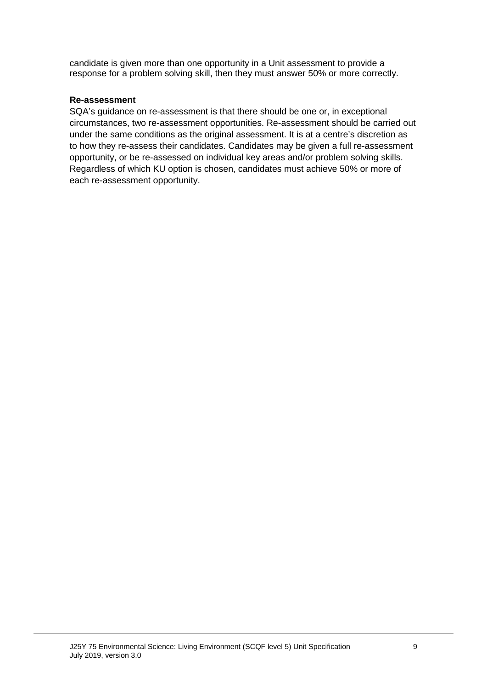candidate is given more than one opportunity in a Unit assessment to provide a response for a problem solving skill, then they must answer 50% or more correctly.

#### **Re-assessment**

SQA's guidance on re-assessment is that there should be one or, in exceptional circumstances, two re-assessment opportunities. Re-assessment should be carried out under the same conditions as the original assessment. It is at a centre's discretion as to how they re-assess their candidates. Candidates may be given a full re-assessment opportunity, or be re-assessed on individual key areas and/or problem solving skills. Regardless of which KU option is chosen, candidates must achieve 50% or more of each re-assessment opportunity.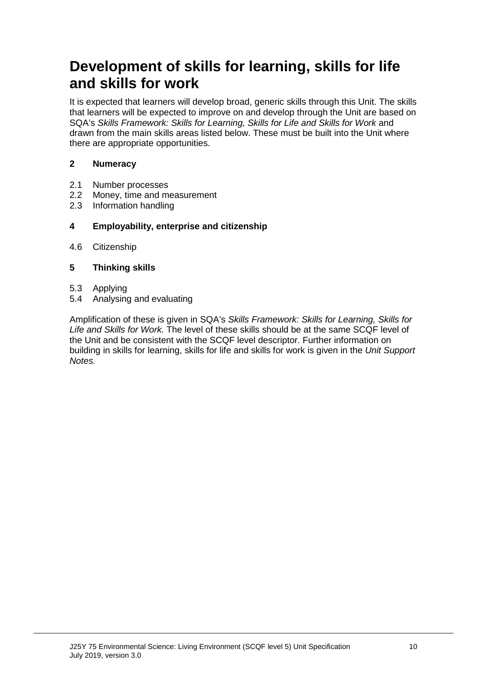## **Development of skills for learning, skills for life and skills for work**

It is expected that learners will develop broad, generic skills through this Unit. The skills that learners will be expected to improve on and develop through the Unit are based on SQA's *Skills Framework: Skills for Learning, Skills for Life and Skills for Work* and drawn from the main skills areas listed below. These must be built into the Unit where there are appropriate opportunities.

#### **2 Numeracy**

- 2.1 Number processes<br>2.2 Money, time and m
- Money, time and measurement
- 2.3 Information handling

#### **4 Employability, enterprise and citizenship**

4.6 Citizenship

#### **5 Thinking skills**

- 5.3 Applying
- 5.4 Analysing and evaluating

Amplification of these is given in SQA's *Skills Framework: Skills for Learning, Skills for Life and Skills for Work.* The level of these skills should be at the same SCQF level of the Unit and be consistent with the SCQF level descriptor. Further information on building in skills for learning, skills for life and skills for work is given in the *Unit Support Notes.*